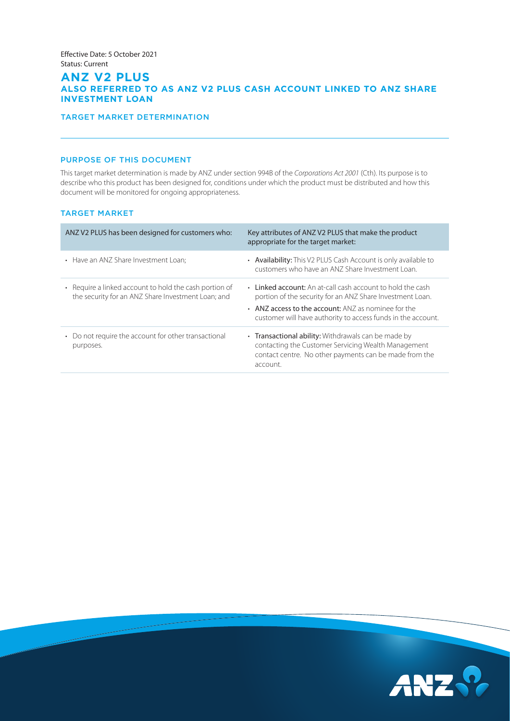## **ANZ V2 PLUS ALSO REFERRED TO AS ANZ V2 PLUS CASH ACCOUNT LINKED TO ANZ SHARE INVESTMENT LOAN**

## TARGET MARKET DETERMINATION

## PURPOSE OF THIS DOCUMENT

This target market determination is made by ANZ under section 994B of the *Corporations Act 2001* (Cth). Its purpose is to describe who this product has been designed for, conditions under which the product must be distributed and how this document will be monitored for ongoing appropriateness.

## TARGET MARKET

| ANZ V2 PLUS has been designed for customers who:                                                             | Key attributes of ANZ V2 PLUS that make the product<br>appropriate for the target market:                                                                                                                                                            |
|--------------------------------------------------------------------------------------------------------------|------------------------------------------------------------------------------------------------------------------------------------------------------------------------------------------------------------------------------------------------------|
| • Have an ANZ Share Investment Loan;                                                                         | • Availability: This V2 PLUS Cash Account is only available to<br>customers who have an ANZ Share Investment Loan.                                                                                                                                   |
| • Require a linked account to hold the cash portion of<br>the security for an ANZ Share Investment Loan; and | • Linked account: An at-call cash account to hold the cash<br>portion of the security for an ANZ Share Investment Loan.<br>$\cdot$ ANZ access to the account: ANZ as nominee for the<br>customer will have authority to access funds in the account. |
| • Do not require the account for other transactional<br>purposes.                                            | • Transactional ability: Withdrawals can be made by<br>contacting the Customer Servicing Wealth Management<br>contact centre. No other payments can be made from the<br>account.                                                                     |

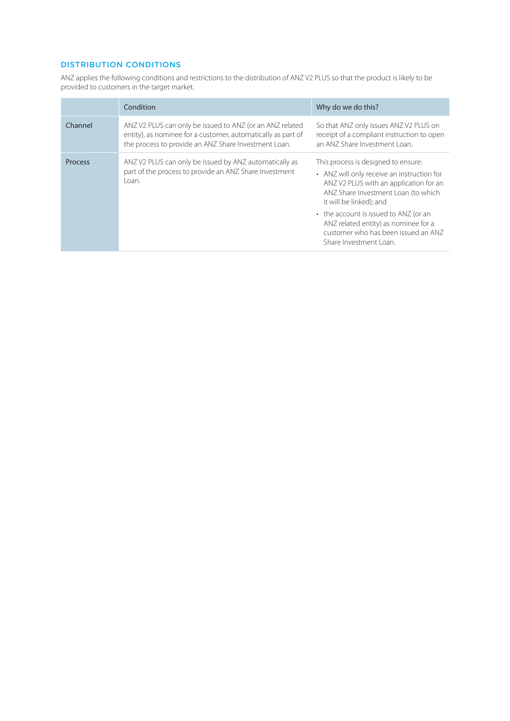# DISTRIBUTION CONDITIONS

ANZ applies the following conditions and restrictions to the distribution of ANZ V2 PLUS so that the product is likely to be provided to customers in the target market.

| So that ANZ only issues ANZ V2 PLUS on<br>receipt of a compliant instruction to open<br>an ANZ Share Investment Loan.                                                                                                                                                                                                 |
|-----------------------------------------------------------------------------------------------------------------------------------------------------------------------------------------------------------------------------------------------------------------------------------------------------------------------|
| This process is designed to ensure:<br>• ANZ will only receive an instruction for<br>ANZ V2 PLUS with an application for an<br>ANZ Share Investment Loan (to which<br>it will be linked); and<br>• the account is issued to ANZ (or an<br>ANZ related entity) as nominee for a<br>customer who has been issued an ANZ |
| Share Investment Loan.                                                                                                                                                                                                                                                                                                |